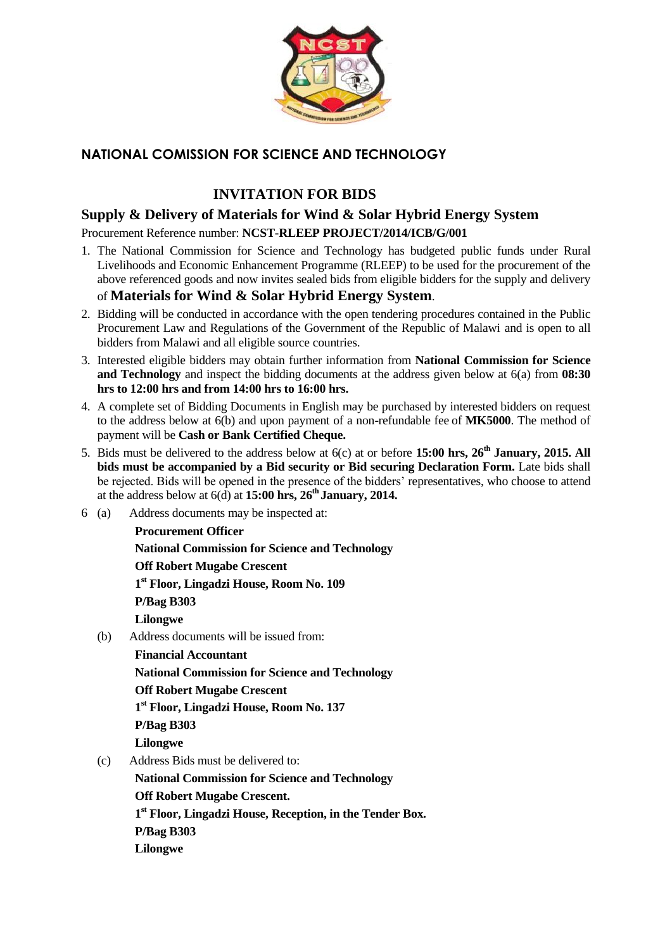

## **NATIONAL COMISSION FOR SCIENCE AND TECHNOLOGY**

# **INVITATION FOR BIDS**

## **Supply & Delivery of Materials for Wind & Solar Hybrid Energy System**

#### Procurement Reference number: **NCST-RLEEP PROJECT/2014/ICB/G/001**

1. The National Commission for Science and Technology has budgeted public funds under Rural Livelihoods and Economic Enhancement Programme (RLEEP) to be used for the procurement of the above referenced goods and now invites sealed bids from eligible bidders for the supply and delivery

## of **Materials for Wind & Solar Hybrid Energy System**.

- 2. Bidding will be conducted in accordance with the open tendering procedures contained in the Public Procurement Law and Regulations of the Government of the Republic of Malawi and is open to all bidders from Malawi and all eligible source countries.
- 3. Interested eligible bidders may obtain further information from **National Commission for Science and Technology** and inspect the bidding documents at the address given below at 6(a) from **08:30 hrs to 12:00 hrs and from 14:00 hrs to 16:00 hrs.**
- 4. A complete set of Bidding Documents in English may be purchased by interested bidders on request to the address below at 6(b) and upon payment of a non-refundable fee of **MK5000**. The method of payment will be **Cash or Bank Certified Cheque.**
- 5. Bids must be delivered to the address below at 6(c) at or before **15:00 hrs, 26th January, 2015. All bids must be accompanied by a Bid security or Bid securing Declaration Form.** Late bids shall be rejected. Bids will be opened in the presence of the bidders' representatives, who choose to attend at the address below at 6(d) at **15:00 hrs, 26th January, 2014.**
- 6 (a) Address documents may be inspected at:

 **Procurement Officer National Commission for Science and Technology Off Robert Mugabe Crescent 1 st Floor, Lingadzi House, Room No. 109 P/Bag B303 Lilongwe**

(b) Address documents will be issued from:

 **Financial Accountant National Commission for Science and Technology Off Robert Mugabe Crescent 1 st Floor, Lingadzi House, Room No. 137 P/Bag B303 Lilongwe**

(c) Address Bids must be delivered to:

 **National Commission for Science and Technology Off Robert Mugabe Crescent. 1 st Floor, Lingadzi House, Reception, in the Tender Box. P/Bag B303 Lilongwe**